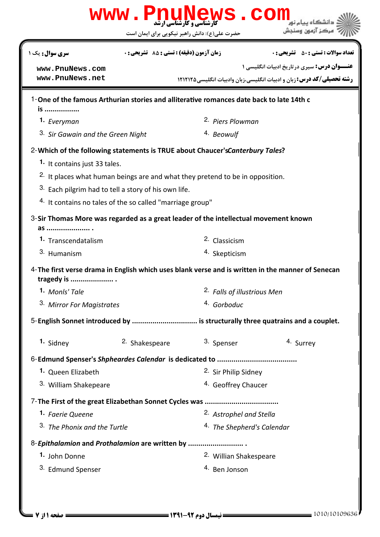|                                                |                                                           | Www.PnuNews.com                                                                          |                                                                                                   |  |
|------------------------------------------------|-----------------------------------------------------------|------------------------------------------------------------------------------------------|---------------------------------------------------------------------------------------------------|--|
|                                                |                                                           | حضرت علی(ع): دانش راهبر نیکویی برای ایمان است                                            | مركز آزمون وسنجش                                                                                  |  |
| <b>سری سوال :</b> یک ۱                         | زمان آزمون (دقيقه) : تستى : 55 ٪ تشريحي : 0               |                                                                                          | <b>تعداد سوالات : تستي : 50 ٪ تشريحي : 0</b>                                                      |  |
| www.PnuNews.com                                |                                                           |                                                                                          | <b>عنـــوان درس:</b> سیری درتاریخ ادبیات انگلیسی ۱                                                |  |
| www.PnuNews.net                                |                                                           |                                                                                          | <b>رشته تحصیلی/کد درس: :</b> زبان و ادبیات انگلیسی،زبان وادبیات انگلیسی ۱۲۱۲۱۲۵                   |  |
|                                                |                                                           | 1-One of the famous Arthurian stories and alliterative romances date back to late 14th c |                                                                                                   |  |
| <i>is</i>                                      |                                                           |                                                                                          |                                                                                                   |  |
| 1. Everyman                                    |                                                           | 2. Piers Plowman                                                                         |                                                                                                   |  |
| 3. Sir Gawain and the Green Night              |                                                           | 4. Beowulf                                                                               |                                                                                                   |  |
|                                                |                                                           | 2- Which of the following statements is TRUE about Chaucer's Canterbury Tales?           |                                                                                                   |  |
| 1. It contains just 33 tales.                  |                                                           |                                                                                          |                                                                                                   |  |
|                                                |                                                           | <sup>2.</sup> It places what human beings are and what they pretend to be in opposition. |                                                                                                   |  |
|                                                | 3. Each pilgrim had to tell a story of his own life.      |                                                                                          |                                                                                                   |  |
|                                                | 4. It contains no tales of the so called "marriage group" |                                                                                          |                                                                                                   |  |
| as  .                                          |                                                           | 3-Sir Thomas More was regarded as a great leader of the intellectual movement known      |                                                                                                   |  |
| 1. Transcendatalism                            |                                                           | <sup>2.</sup> Classicism                                                                 |                                                                                                   |  |
| 3. Humanism                                    |                                                           | 4. Skepticism                                                                            |                                                                                                   |  |
| tragedy is                                     |                                                           |                                                                                          | 4-The first verse drama in English which uses blank verse and is written in the manner of Senecan |  |
| 1. Monls' Tale                                 |                                                           | 2. Falls of illustrious Men                                                              |                                                                                                   |  |
| 3. Mirror For Magistrates                      |                                                           | 4. Gorboduc                                                                              |                                                                                                   |  |
|                                                |                                                           |                                                                                          | 5-English Sonnet introduced by  is structurally three quatrains and a couplet.                    |  |
| 1. Sidney                                      | <sup>2.</sup> Shakespeare                                 | 3. Spenser                                                                               | 4. Surrey                                                                                         |  |
|                                                |                                                           |                                                                                          |                                                                                                   |  |
| 1. Queen Elizabeth                             |                                                           | 2. Sir Philip Sidney                                                                     |                                                                                                   |  |
| 3. William Shakepeare                          |                                                           | <sup>4.</sup> Geoffrey Chaucer                                                           |                                                                                                   |  |
|                                                |                                                           |                                                                                          |                                                                                                   |  |
| 1. Faerie Queene                               |                                                           | 2. Astrophel and Stella                                                                  |                                                                                                   |  |
| 3. The Phonix and the Turtle                   |                                                           | <sup>4.</sup> The Shepherd's Calendar                                                    |                                                                                                   |  |
| 8-Epithalamion and Prothalamion are written by |                                                           |                                                                                          |                                                                                                   |  |
| 1. John Donne                                  |                                                           | 2. Willian Shakespeare                                                                   |                                                                                                   |  |
| 3. Edmund Spenser                              |                                                           | <sup>4.</sup> Ben Jonson                                                                 |                                                                                                   |  |
|                                                |                                                           |                                                                                          |                                                                                                   |  |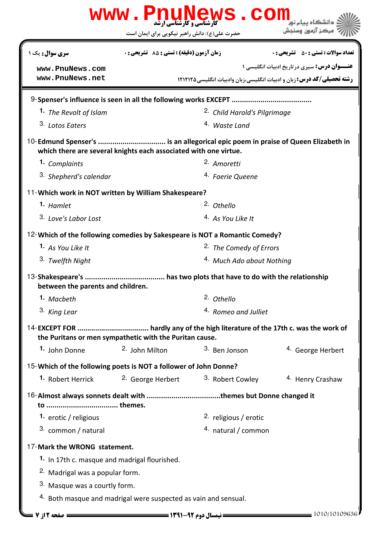|                                                                             |                                               | www.PnuNews.com                         |                                                                                |
|-----------------------------------------------------------------------------|-----------------------------------------------|-----------------------------------------|--------------------------------------------------------------------------------|
|                                                                             | حضرت علی(ع): دانش راهبر نیکویی برای ایمان است |                                         | مركز آزمون وسنجش                                                               |
| <b>سری سوال :</b> یک ۱                                                      | زمان آزمون (دقيقه) : تستى : 55 ٪ تشريحي : 0   |                                         | <b>تعداد سوالات : تستي : 50 ٪ تشريحي : 0</b>                                   |
| www.PnuNews.com                                                             |                                               |                                         | <b>عنـــوان درس:</b> سیری درتاریخ ادبیات انگلیسی ۱                             |
| www.PnuNews.net                                                             |                                               |                                         | <b>رشته تحصیلی/کد درس:</b> زبان و ادبیات انگلیسی،زبان وادبیات انگلیسی، ۱۲۱۲۱۲۵ |
|                                                                             |                                               |                                         |                                                                                |
| 1. The Revolt of Islam                                                      |                                               | <sup>2.</sup> Child Harold's Pilgrimage |                                                                                |
| 3. Lotos Eaters                                                             |                                               | <sup>4.</sup> Waste Land                |                                                                                |
| which there are several knights each associated with one virtue.            |                                               |                                         |                                                                                |
| 1. Complaints                                                               |                                               | <sup>2.</sup> Amoretti                  |                                                                                |
| 3. Shepherd's calendar                                                      |                                               | 4. Faerie Queene                        |                                                                                |
| 11-Which work in NOT written by William Shakespeare?                        |                                               |                                         |                                                                                |
| 1. Hamlet                                                                   |                                               | 2. Othello                              |                                                                                |
| 3. Love's Labor Lost                                                        |                                               | 4. As You Like It                       |                                                                                |
| 12- Which of the following comedies by Sakespeare is NOT a Romantic Comedy? |                                               |                                         |                                                                                |
| 1. As You Like It                                                           |                                               | <sup>2.</sup> The Comedy of Errors      |                                                                                |
| 3. Twelfth Night                                                            |                                               | 4. Much Ado about Nothing               |                                                                                |
| between the parents and children.                                           |                                               |                                         |                                                                                |
| 1. Macbeth                                                                  |                                               | 2. Othello                              |                                                                                |
| 3. King Lear                                                                |                                               | 4. Romeo and Julliet                    |                                                                                |
|                                                                             |                                               |                                         |                                                                                |
| the Puritans or men sympathetic with the Puritan cause.                     |                                               |                                         |                                                                                |
| 1. John Donne                                                               | 2. John Milton                                | 3. Ben Jonson                           | <sup>4.</sup> George Herbert                                                   |
| 15-Which of the following poets is NOT a follower of John Donne?            |                                               |                                         |                                                                                |
| <b>1.</b> Robert Herrick                                                    | <sup>2.</sup> George Herbert                  | <sup>3.</sup> Robert Cowley             | <sup>4</sup> Henry Crashaw                                                     |
|                                                                             |                                               |                                         |                                                                                |
| 1. erotic / religious                                                       |                                               | 2. religious / erotic                   |                                                                                |
| 3. common / natural                                                         |                                               | 4. natural / common                     |                                                                                |
| 17-Mark the WRONG statement.                                                |                                               |                                         |                                                                                |
| 1. In 17th c. masque and madrigal flourished.                               |                                               |                                         |                                                                                |
| <sup>2</sup> Madrigal was a popular form.                                   |                                               |                                         |                                                                                |
| 3. Masque was a courtly form.                                               |                                               |                                         |                                                                                |
| 4. Both masque and madrigal were suspected as vain and sensual.             |                                               |                                         |                                                                                |
| = صفحه 12 ; 7 =                                                             |                                               |                                         | = 1010/10109636                                                                |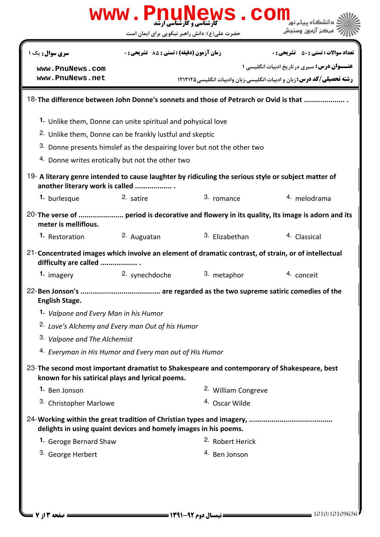|                                                                                                                                         | www.PnuNews.con                                                         |                             |                                                                                               |
|-----------------------------------------------------------------------------------------------------------------------------------------|-------------------------------------------------------------------------|-----------------------------|-----------------------------------------------------------------------------------------------|
|                                                                                                                                         | حضرت علی(ع): دانش راهبر نیکویی برای ایمان است                           |                             | مركز آزمون وسنجش                                                                              |
| <b>سری سوال :</b> یک ۱                                                                                                                  | <b>زمان آزمون (دقیقه) : تستی : 85 تشریحی : 0</b>                        |                             | <b>تعداد سوالات : تستی : 50 ٪ تشریحی : 0</b>                                                  |
| www.PnuNews.com                                                                                                                         |                                                                         |                             | <b>عنـــوان درس:</b> سیری درتاریخ ادبیات انگلیسی ۱                                            |
| www.PnuNews.net                                                                                                                         |                                                                         |                             | <b>رشته تحصیلی/کد درس:</b> زبان و ادبیات انگلیسی،زبان وادبیات انگلیسی ۱۲۱۲۱۲۵                 |
|                                                                                                                                         |                                                                         |                             | 18-The difference between John Donne's sonnets and those of Petrarch or Ovid is that          |
|                                                                                                                                         | 1. Unlike them, Donne can unite spiritual and pohysical love            |                             |                                                                                               |
|                                                                                                                                         | <sup>2.</sup> Unlike them, Donne can be frankly lustful and skeptic     |                             |                                                                                               |
|                                                                                                                                         | 3. Donne presents himslef as the despairing lover but not the other two |                             |                                                                                               |
|                                                                                                                                         | 4. Donne writes erotically but not the other two                        |                             |                                                                                               |
| 19- A literary genre intended to cause laughter by ridiculing the serious style or subject matter of<br>another literary work is called |                                                                         |                             |                                                                                               |
| 1. burlesque                                                                                                                            | 2. satire                                                               | 3. romance                  | 4. melodrama                                                                                  |
| meter is melliflous.                                                                                                                    |                                                                         |                             | 20- The verse of  period is decorative and flowery in its quality, Its image is adorn and its |
| 1. Restoration                                                                                                                          | 2. Auguatan                                                             | 3. Elizabethan              | 4. Classical                                                                                  |
| 21-Concentrated images which involve an element of dramatic contrast, of strain, or of intellectual<br>difficulty are called            |                                                                         |                             |                                                                                               |
| 1. imagery                                                                                                                              | 2. synechdoche                                                          | 3. metaphor                 | 4. conceit                                                                                    |
| <b>English Stage.</b>                                                                                                                   |                                                                         |                             |                                                                                               |
| 1. Valpone and Every Man in his Humor                                                                                                   |                                                                         |                             |                                                                                               |
|                                                                                                                                         | <sup>2.</sup> Love's Alchemy and Every man Out of his Humor             |                             |                                                                                               |
| 3. Valpone and The Alchemist                                                                                                            |                                                                         |                             |                                                                                               |
|                                                                                                                                         | <sup>4.</sup> Everyman in His Humor and Every man out of His Humor      |                             |                                                                                               |
| 23-The second most important dramatist to Shakespeare and contemporary of Shakespeare, best                                             | known for his satirical plays and lyrical poems.                        |                             |                                                                                               |
| 1. Ben Jonson                                                                                                                           |                                                                         | 2. William Congreve         |                                                                                               |
| 3. Christopher Marlowe                                                                                                                  |                                                                         | <sup>4.</sup> Oscar Wilde   |                                                                                               |
|                                                                                                                                         | delights in using quaint devices and homely images in his poems.        |                             |                                                                                               |
| 1. Geroge Bernard Shaw                                                                                                                  |                                                                         | <sup>2.</sup> Robert Herick |                                                                                               |
| 3. George Herbert                                                                                                                       |                                                                         | <sup>4.</sup> Ben Jonson    |                                                                                               |
|                                                                                                                                         |                                                                         |                             |                                                                                               |
|                                                                                                                                         |                                                                         |                             |                                                                                               |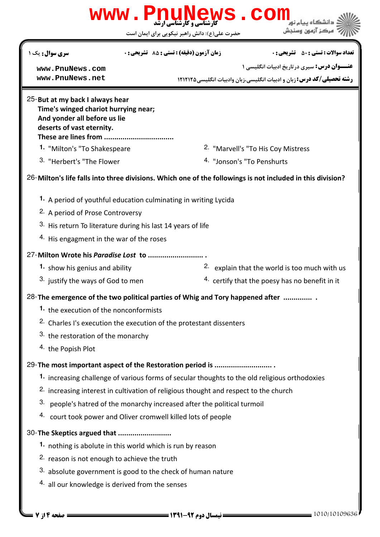| <b>زمان آزمون (دقیقه) : تستی : 85 ٪ تشریحی : 0</b><br><b>سری سوال :</b> یک ۱<br><b>ــوان درس:</b> سیری در تاریخ ادبیات انگلیسی ۱<br>www.PnuNews.com<br>رشته تحصیلی/کد درس: زبان و ادبیات انگلیسی،زبان وادبیات انگلیسی1۲۱۲۱۲۵<br>www.PnuNews.net<br>25-But at my back I always hear<br>Time's winged chariot hurrying near;<br>And yonder all before us lie<br>deserts of vast eternity.<br>These are lines from<br>2. "Marvell's "To His Coy Mistress<br>1. "Milton's "To Shakespeare<br>3. "Herbert's "The Flower<br>4. "Jonson's "To Penshurts<br>26-Milton's life falls into three divisions. Which one of the followings is not included in this division?<br>1. A period of youthful education culminating in writing Lycida<br><sup>2.</sup> A period of Prose Controversy<br>3. His return To literature during his last 14 years of life<br>4. His engagment in the war of the roses<br>27-Milton Wrote his Paradise Lost to<br><sup>2.</sup> explain that the world is too much with us<br>1. show his genius and ability<br><sup>3.</sup> justify the ways of God to men<br><sup>4.</sup> certify that the poesy has no benefit in it<br>28- The emergence of the two political parties of Whig and Tory happened after<br>1. the execution of the nonconformists<br><sup>2.</sup> Charles I's execution the execution of the protestant dissenters<br>3. the restoration of the monarchy<br>4. the Popish Plot<br>29-The most important aspect of the Restoration period is<br>1. increasing challenge of various forms of secular thoughts to the old religious orthodoxies<br><sup>2.</sup> increasing interest in cultivation of religious thought and respect to the church<br>3.<br>people's hatred of the monarchy increased after the political turmoil<br>4. court took power and Oliver cromwell killed lots of people<br>30-The Skeptics argued that<br>1. nothing is abolute in this world which is run by reason<br><sup>2.</sup> reason is not enough to achieve the truth<br>3. absolute government is good to the check of human nature |                                                 |  | حضرت علی(ع): دانش راهبر نیکویی برای ایمان است |                                              |  |  |
|-------------------------------------------------------------------------------------------------------------------------------------------------------------------------------------------------------------------------------------------------------------------------------------------------------------------------------------------------------------------------------------------------------------------------------------------------------------------------------------------------------------------------------------------------------------------------------------------------------------------------------------------------------------------------------------------------------------------------------------------------------------------------------------------------------------------------------------------------------------------------------------------------------------------------------------------------------------------------------------------------------------------------------------------------------------------------------------------------------------------------------------------------------------------------------------------------------------------------------------------------------------------------------------------------------------------------------------------------------------------------------------------------------------------------------------------------------------------------------------------------------------------------------------------------------------------------------------------------------------------------------------------------------------------------------------------------------------------------------------------------------------------------------------------------------------------------------------------------------------------------------------------------------------------------------------------------------------------------------------------------------------------------------------------------------------------|-------------------------------------------------|--|-----------------------------------------------|----------------------------------------------|--|--|
|                                                                                                                                                                                                                                                                                                                                                                                                                                                                                                                                                                                                                                                                                                                                                                                                                                                                                                                                                                                                                                                                                                                                                                                                                                                                                                                                                                                                                                                                                                                                                                                                                                                                                                                                                                                                                                                                                                                                                                                                                                                                   |                                                 |  |                                               | <b>تعداد سوالات : تستي : 50 ٪ تشريحي : 0</b> |  |  |
|                                                                                                                                                                                                                                                                                                                                                                                                                                                                                                                                                                                                                                                                                                                                                                                                                                                                                                                                                                                                                                                                                                                                                                                                                                                                                                                                                                                                                                                                                                                                                                                                                                                                                                                                                                                                                                                                                                                                                                                                                                                                   |                                                 |  |                                               |                                              |  |  |
|                                                                                                                                                                                                                                                                                                                                                                                                                                                                                                                                                                                                                                                                                                                                                                                                                                                                                                                                                                                                                                                                                                                                                                                                                                                                                                                                                                                                                                                                                                                                                                                                                                                                                                                                                                                                                                                                                                                                                                                                                                                                   |                                                 |  |                                               |                                              |  |  |
|                                                                                                                                                                                                                                                                                                                                                                                                                                                                                                                                                                                                                                                                                                                                                                                                                                                                                                                                                                                                                                                                                                                                                                                                                                                                                                                                                                                                                                                                                                                                                                                                                                                                                                                                                                                                                                                                                                                                                                                                                                                                   |                                                 |  |                                               |                                              |  |  |
|                                                                                                                                                                                                                                                                                                                                                                                                                                                                                                                                                                                                                                                                                                                                                                                                                                                                                                                                                                                                                                                                                                                                                                                                                                                                                                                                                                                                                                                                                                                                                                                                                                                                                                                                                                                                                                                                                                                                                                                                                                                                   |                                                 |  |                                               |                                              |  |  |
|                                                                                                                                                                                                                                                                                                                                                                                                                                                                                                                                                                                                                                                                                                                                                                                                                                                                                                                                                                                                                                                                                                                                                                                                                                                                                                                                                                                                                                                                                                                                                                                                                                                                                                                                                                                                                                                                                                                                                                                                                                                                   |                                                 |  |                                               |                                              |  |  |
|                                                                                                                                                                                                                                                                                                                                                                                                                                                                                                                                                                                                                                                                                                                                                                                                                                                                                                                                                                                                                                                                                                                                                                                                                                                                                                                                                                                                                                                                                                                                                                                                                                                                                                                                                                                                                                                                                                                                                                                                                                                                   |                                                 |  |                                               |                                              |  |  |
|                                                                                                                                                                                                                                                                                                                                                                                                                                                                                                                                                                                                                                                                                                                                                                                                                                                                                                                                                                                                                                                                                                                                                                                                                                                                                                                                                                                                                                                                                                                                                                                                                                                                                                                                                                                                                                                                                                                                                                                                                                                                   |                                                 |  |                                               |                                              |  |  |
|                                                                                                                                                                                                                                                                                                                                                                                                                                                                                                                                                                                                                                                                                                                                                                                                                                                                                                                                                                                                                                                                                                                                                                                                                                                                                                                                                                                                                                                                                                                                                                                                                                                                                                                                                                                                                                                                                                                                                                                                                                                                   |                                                 |  |                                               |                                              |  |  |
|                                                                                                                                                                                                                                                                                                                                                                                                                                                                                                                                                                                                                                                                                                                                                                                                                                                                                                                                                                                                                                                                                                                                                                                                                                                                                                                                                                                                                                                                                                                                                                                                                                                                                                                                                                                                                                                                                                                                                                                                                                                                   |                                                 |  |                                               |                                              |  |  |
|                                                                                                                                                                                                                                                                                                                                                                                                                                                                                                                                                                                                                                                                                                                                                                                                                                                                                                                                                                                                                                                                                                                                                                                                                                                                                                                                                                                                                                                                                                                                                                                                                                                                                                                                                                                                                                                                                                                                                                                                                                                                   |                                                 |  |                                               |                                              |  |  |
|                                                                                                                                                                                                                                                                                                                                                                                                                                                                                                                                                                                                                                                                                                                                                                                                                                                                                                                                                                                                                                                                                                                                                                                                                                                                                                                                                                                                                                                                                                                                                                                                                                                                                                                                                                                                                                                                                                                                                                                                                                                                   |                                                 |  |                                               |                                              |  |  |
|                                                                                                                                                                                                                                                                                                                                                                                                                                                                                                                                                                                                                                                                                                                                                                                                                                                                                                                                                                                                                                                                                                                                                                                                                                                                                                                                                                                                                                                                                                                                                                                                                                                                                                                                                                                                                                                                                                                                                                                                                                                                   |                                                 |  |                                               |                                              |  |  |
|                                                                                                                                                                                                                                                                                                                                                                                                                                                                                                                                                                                                                                                                                                                                                                                                                                                                                                                                                                                                                                                                                                                                                                                                                                                                                                                                                                                                                                                                                                                                                                                                                                                                                                                                                                                                                                                                                                                                                                                                                                                                   |                                                 |  |                                               |                                              |  |  |
|                                                                                                                                                                                                                                                                                                                                                                                                                                                                                                                                                                                                                                                                                                                                                                                                                                                                                                                                                                                                                                                                                                                                                                                                                                                                                                                                                                                                                                                                                                                                                                                                                                                                                                                                                                                                                                                                                                                                                                                                                                                                   |                                                 |  |                                               |                                              |  |  |
|                                                                                                                                                                                                                                                                                                                                                                                                                                                                                                                                                                                                                                                                                                                                                                                                                                                                                                                                                                                                                                                                                                                                                                                                                                                                                                                                                                                                                                                                                                                                                                                                                                                                                                                                                                                                                                                                                                                                                                                                                                                                   |                                                 |  |                                               |                                              |  |  |
|                                                                                                                                                                                                                                                                                                                                                                                                                                                                                                                                                                                                                                                                                                                                                                                                                                                                                                                                                                                                                                                                                                                                                                                                                                                                                                                                                                                                                                                                                                                                                                                                                                                                                                                                                                                                                                                                                                                                                                                                                                                                   |                                                 |  |                                               |                                              |  |  |
|                                                                                                                                                                                                                                                                                                                                                                                                                                                                                                                                                                                                                                                                                                                                                                                                                                                                                                                                                                                                                                                                                                                                                                                                                                                                                                                                                                                                                                                                                                                                                                                                                                                                                                                                                                                                                                                                                                                                                                                                                                                                   |                                                 |  |                                               |                                              |  |  |
|                                                                                                                                                                                                                                                                                                                                                                                                                                                                                                                                                                                                                                                                                                                                                                                                                                                                                                                                                                                                                                                                                                                                                                                                                                                                                                                                                                                                                                                                                                                                                                                                                                                                                                                                                                                                                                                                                                                                                                                                                                                                   |                                                 |  |                                               |                                              |  |  |
|                                                                                                                                                                                                                                                                                                                                                                                                                                                                                                                                                                                                                                                                                                                                                                                                                                                                                                                                                                                                                                                                                                                                                                                                                                                                                                                                                                                                                                                                                                                                                                                                                                                                                                                                                                                                                                                                                                                                                                                                                                                                   |                                                 |  |                                               |                                              |  |  |
|                                                                                                                                                                                                                                                                                                                                                                                                                                                                                                                                                                                                                                                                                                                                                                                                                                                                                                                                                                                                                                                                                                                                                                                                                                                                                                                                                                                                                                                                                                                                                                                                                                                                                                                                                                                                                                                                                                                                                                                                                                                                   |                                                 |  |                                               |                                              |  |  |
|                                                                                                                                                                                                                                                                                                                                                                                                                                                                                                                                                                                                                                                                                                                                                                                                                                                                                                                                                                                                                                                                                                                                                                                                                                                                                                                                                                                                                                                                                                                                                                                                                                                                                                                                                                                                                                                                                                                                                                                                                                                                   |                                                 |  |                                               |                                              |  |  |
|                                                                                                                                                                                                                                                                                                                                                                                                                                                                                                                                                                                                                                                                                                                                                                                                                                                                                                                                                                                                                                                                                                                                                                                                                                                                                                                                                                                                                                                                                                                                                                                                                                                                                                                                                                                                                                                                                                                                                                                                                                                                   |                                                 |  |                                               |                                              |  |  |
|                                                                                                                                                                                                                                                                                                                                                                                                                                                                                                                                                                                                                                                                                                                                                                                                                                                                                                                                                                                                                                                                                                                                                                                                                                                                                                                                                                                                                                                                                                                                                                                                                                                                                                                                                                                                                                                                                                                                                                                                                                                                   |                                                 |  |                                               |                                              |  |  |
|                                                                                                                                                                                                                                                                                                                                                                                                                                                                                                                                                                                                                                                                                                                                                                                                                                                                                                                                                                                                                                                                                                                                                                                                                                                                                                                                                                                                                                                                                                                                                                                                                                                                                                                                                                                                                                                                                                                                                                                                                                                                   |                                                 |  |                                               |                                              |  |  |
|                                                                                                                                                                                                                                                                                                                                                                                                                                                                                                                                                                                                                                                                                                                                                                                                                                                                                                                                                                                                                                                                                                                                                                                                                                                                                                                                                                                                                                                                                                                                                                                                                                                                                                                                                                                                                                                                                                                                                                                                                                                                   | 4. all our knowledge is derived from the senses |  |                                               |                                              |  |  |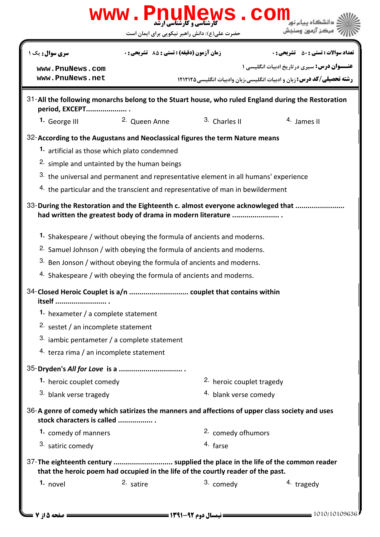|                                                                                                                               | حضرت علی(ع): دانش راهبر نیکویی برای ایمان است                      |                                                                                     | مركز آزمون وسنجش                                                                                   |  |
|-------------------------------------------------------------------------------------------------------------------------------|--------------------------------------------------------------------|-------------------------------------------------------------------------------------|----------------------------------------------------------------------------------------------------|--|
| <b>سری سوال :</b> یک ۱                                                                                                        | زمان آزمون (دقيقه) : تستى : 55 ٪ تشريحي : 0                        |                                                                                     | <b>تعداد سوالات : تستي : 50 ٪ تشريحي : 0</b>                                                       |  |
| www.PnuNews.com                                                                                                               |                                                                    |                                                                                     | <b>عنـــوان درس:</b> سیری درتاریخ ادبیات انگلیسی ۱                                                 |  |
| www.PnuNews.net                                                                                                               |                                                                    |                                                                                     | <b>رشته تحصیلی/کد درس:</b> زبان و ادبیات انگلیسی،زبان وادبیات انگلیسی،۱۲۱۲۱۲۵                      |  |
| period, EXCEPT                                                                                                                |                                                                    |                                                                                     | 31-All the following monarchs belong to the Stuart house, who ruled England during the Restoration |  |
| 1. George III                                                                                                                 | <sup>2.</sup> Queen Anne                                           | 3. Charles II                                                                       | $4.$ James II                                                                                      |  |
| 32-According to the Augustans and Neoclassical figures the term Nature means                                                  |                                                                    |                                                                                     |                                                                                                    |  |
| 1. artificial as those which plato condemned                                                                                  |                                                                    |                                                                                     |                                                                                                    |  |
|                                                                                                                               | <sup>2.</sup> simple and untainted by the human beings             |                                                                                     |                                                                                                    |  |
|                                                                                                                               |                                                                    | 3. the universal and permanent and representative element in all humans' experience |                                                                                                    |  |
|                                                                                                                               |                                                                    | 4. the particular and the transcient and representative of man in bewilderment      |                                                                                                    |  |
|                                                                                                                               |                                                                    | had written the greatest body of drama in modern literature                         | 33-During the Restoration and the Eighteenth c. almost everyone acknowleged that                   |  |
|                                                                                                                               |                                                                    | 1. Shakespeare / without obeying the formula of ancients and moderns.               |                                                                                                    |  |
|                                                                                                                               |                                                                    | <sup>2.</sup> Samuel Johnson / with obeying the formula of ancients and moderns.    |                                                                                                    |  |
|                                                                                                                               |                                                                    | 3. Ben Jonson / without obeying the formula of ancients and moderns.                |                                                                                                    |  |
|                                                                                                                               | 4. Shakespeare / with obeying the formula of ancients and moderns. |                                                                                     |                                                                                                    |  |
| itself                                                                                                                        |                                                                    |                                                                                     |                                                                                                    |  |
| 1. hexameter / a complete statement                                                                                           |                                                                    |                                                                                     |                                                                                                    |  |
| 2. sestet / an incomplete statement                                                                                           |                                                                    |                                                                                     |                                                                                                    |  |
| $3.$ iambic pentameter / a complete statement                                                                                 |                                                                    |                                                                                     |                                                                                                    |  |
| 4. terza rima / an incomplete statement                                                                                       |                                                                    |                                                                                     |                                                                                                    |  |
|                                                                                                                               |                                                                    |                                                                                     |                                                                                                    |  |
| 1. heroic couplet comedy                                                                                                      |                                                                    | <sup>2.</sup> heroic couplet tragedy                                                |                                                                                                    |  |
| 3. blank verse tragedy                                                                                                        |                                                                    | 4. blank verse comedy                                                               |                                                                                                    |  |
| 36-A genre of comedy which satirizes the manners and affections of upper class society and uses<br>stock characters is called |                                                                    |                                                                                     |                                                                                                    |  |
| 1. comedy of manners                                                                                                          |                                                                    | 2. comedy ofhumors                                                                  |                                                                                                    |  |
| 3. satiric comedy                                                                                                             |                                                                    | 4. farse                                                                            |                                                                                                    |  |
| 37-The eighteenth century  supplied the place in the life of the common reader                                                |                                                                    | that the heroic poem had occupied in the life of the courtly reader of the past.    |                                                                                                    |  |
|                                                                                                                               |                                                                    |                                                                                     | 4. tragedy                                                                                         |  |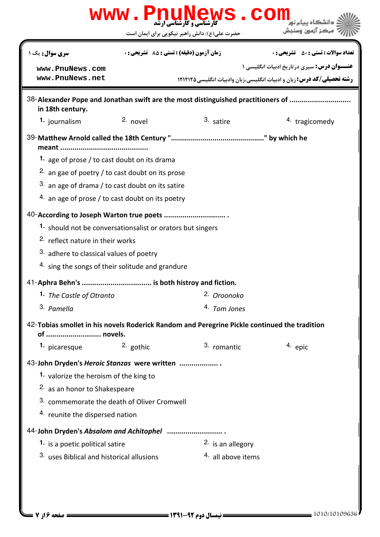|                                                                            |                                             | www.PnuNews.col                                                                              | مركز آزمون وسنحش                                                                                                                    |  |  |
|----------------------------------------------------------------------------|---------------------------------------------|----------------------------------------------------------------------------------------------|-------------------------------------------------------------------------------------------------------------------------------------|--|--|
|                                                                            |                                             | حضرت علی(ع): دانش راهبر نیکویی برای ایمان است                                                |                                                                                                                                     |  |  |
| <b>سری سوال :</b> یک ۱                                                     |                                             | زمان آزمون (دقيقه) : تستى : 55 ٪ تشريحي : 0                                                  | <b>تعداد سوالات : تستي : 50 ٪ تشريحي : 0</b>                                                                                        |  |  |
| www.PnuNews.com<br>www.PnuNews.net                                         |                                             |                                                                                              | <b>عنـــوان درس:</b> سیری درتاریخ ادبیات انگلیسی ۱<br><b>رشته تحصیلی/کد درس:</b> زبان و ادبیات انگلیسی،زبان وادبیات انگلیسی،۱۲۱۲۱۲۵ |  |  |
|                                                                            |                                             |                                                                                              |                                                                                                                                     |  |  |
| in 18th century.                                                           |                                             | 38-Alexander Pope and Jonathan swift are the most distinguished practitioners of             |                                                                                                                                     |  |  |
| 1. journalism                                                              | $2.$ novel                                  | 3. satire                                                                                    | 4. tragicomedy                                                                                                                      |  |  |
|                                                                            |                                             |                                                                                              |                                                                                                                                     |  |  |
| 1. age of prose / to cast doubt on its drama                               |                                             |                                                                                              |                                                                                                                                     |  |  |
| 2. an gae of poetry / to cast doubt on its prose                           |                                             |                                                                                              |                                                                                                                                     |  |  |
| 3. an age of drama / to cast doubt on its satire                           |                                             |                                                                                              |                                                                                                                                     |  |  |
| $4.$ an age of prose / to cast doubt on its poetry                         |                                             |                                                                                              |                                                                                                                                     |  |  |
| 40-According to Joseph Warton true poets                                   |                                             |                                                                                              |                                                                                                                                     |  |  |
| 1. should not be conversationsalist or orators but singers                 |                                             |                                                                                              |                                                                                                                                     |  |  |
| 2. reflect nature in their works                                           |                                             |                                                                                              |                                                                                                                                     |  |  |
| 3. adhere to classical values of poetry                                    |                                             |                                                                                              |                                                                                                                                     |  |  |
| 4. sing the songs of their solitude and grandure                           |                                             |                                                                                              |                                                                                                                                     |  |  |
|                                                                            |                                             |                                                                                              |                                                                                                                                     |  |  |
| 1. The Castle of Otranto                                                   |                                             | 2. Oroonoko                                                                                  |                                                                                                                                     |  |  |
| 3. Pamella                                                                 |                                             | 4. Tom Jones                                                                                 |                                                                                                                                     |  |  |
| of  novels.                                                                |                                             | 42-Tobias smollet in his novels Roderick Random and Peregrine Pickle continued the tradition |                                                                                                                                     |  |  |
| 1. picaresque                                                              | 2. gothic                                   | 3. romantic                                                                                  | 4. epic                                                                                                                             |  |  |
| 43-John Dryden's Heroic Stanzas were written                               |                                             |                                                                                              |                                                                                                                                     |  |  |
| 1. valorize the heroism of the king to                                     |                                             |                                                                                              |                                                                                                                                     |  |  |
|                                                                            | 2. as an honor to Shakespeare               |                                                                                              |                                                                                                                                     |  |  |
|                                                                            | 3. commemorate the death of Oliver Cromwell |                                                                                              |                                                                                                                                     |  |  |
|                                                                            | 4. reunite the dispersed nation             |                                                                                              |                                                                                                                                     |  |  |
|                                                                            |                                             |                                                                                              |                                                                                                                                     |  |  |
| 44-John Dryden's Absalom and Achitophel<br>1. is a poetic political satire |                                             | 2. is an allegory                                                                            |                                                                                                                                     |  |  |
| 3. uses Biblical and historical allusions                                  |                                             | <sup>4.</sup> all above items                                                                |                                                                                                                                     |  |  |
|                                                                            |                                             |                                                                                              |                                                                                                                                     |  |  |